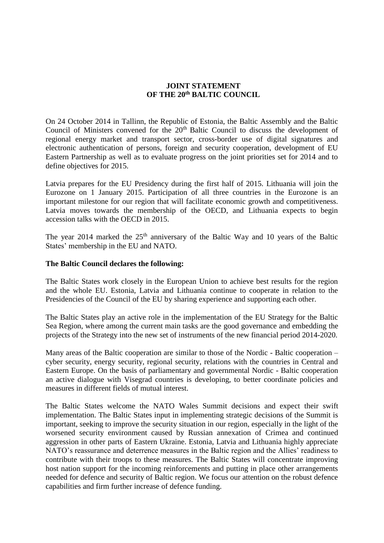## **JOINT STATEMENT OF THE 20th BALTIC COUNCIL**

On 24 October 2014 in Tallinn, the Republic of Estonia, the Baltic Assembly and the Baltic Council of Ministers convened for the 20<sup>th</sup> Baltic Council to discuss the development of regional energy market and transport sector, cross-border use of digital signatures and electronic authentication of persons, foreign and security cooperation, development of EU Eastern Partnership as well as to evaluate progress on the joint priorities set for 2014 and to define objectives for 2015.

Latvia prepares for the EU Presidency during the first half of 2015. Lithuania will join the Eurozone on 1 January 2015. Participation of all three countries in the Eurozone is an important milestone for our region that will facilitate economic growth and competitiveness. Latvia moves towards the membership of the OECD, and Lithuania expects to begin accession talks with the OECD in 2015.

The year 2014 marked the  $25<sup>th</sup>$  anniversary of the Baltic Way and 10 years of the Baltic States' membership in the EU and NATO.

## **The Baltic Council declares the following:**

The Baltic States work closely in the European Union to achieve best results for the region and the whole EU. Estonia, Latvia and Lithuania continue to cooperate in relation to the Presidencies of the Council of the EU by sharing experience and supporting each other.

The Baltic States play an active role in the implementation of the EU Strategy for the Baltic Sea Region, where among the current main tasks are the good governance and embedding the projects of the Strategy into the new set of instruments of the new financial period 2014-2020.

Many areas of the Baltic cooperation are similar to those of the Nordic - Baltic cooperation – cyber security, energy security, regional security, relations with the countries in Central and Eastern Europe. On the basis of parliamentary and governmental Nordic - Baltic cooperation an active dialogue with Visegrad countries is developing, to better coordinate policies and measures in different fields of mutual interest.

The Baltic States welcome the NATO Wales Summit decisions and expect their swift implementation. The Baltic States input in implementing strategic decisions of the Summit is important, seeking to improve the security situation in our region, especially in the light of the worsened security environment caused by Russian annexation of Crimea and continued aggression in other parts of Eastern Ukraine. Estonia, Latvia and Lithuania highly appreciate NATO's reassurance and deterrence measures in the Baltic region and the Allies' readiness to contribute with their troops to these measures. The Baltic States will concentrate improving host nation support for the incoming reinforcements and putting in place other arrangements needed for defence and security of Baltic region. We focus our attention on the robust defence capabilities and firm further increase of defence funding.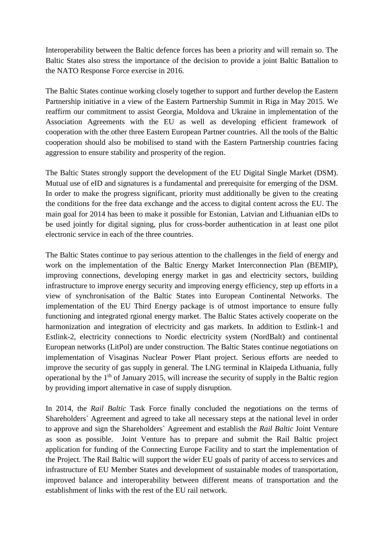Interoperability between the Baltic defence forces has been a priority and will remain so. The Baltic States also stress the importance of the decision to provide a joint Baltic Battalion to the NATO Response Force exercise in 2016.

The Baltic States continue working closely together to support and further develop the Eastern Partnership initiative in a view of the Eastern Partnership Summit in Riga in May 2015. We reaffirm our commitment to assist Georgia, Moldova and Ukraine in implementation of the Association Agreements with the EU as well as developing efficient framework of cooperation with the other three Eastern European Partner countries. All the tools of the Baltic cooperation should also be mobilised to stand with the Eastern Partnership countries facing aggression to ensure stability and prosperity of the region.

The Baltic States strongly support the development of the EU Digital Single Market (DSM). Mutual use of eID and signatures is a fundamental and prerequisite for emerging of the DSM. In order to make the progress significant, priority must additionally be given to the creating the conditions for the free data exchange and the access to digital content across the EU. The main goal for 2014 has been to make it possible for Estonian, Latvian and Lithuanian eIDs to be used jointly for digital signing, plus for cross-border authentication in at least one pilot electronic service in each of the three countries.

The Baltic States continue to pay serious attention to the challenges in the field of energy and work on the implementation of the Baltic Energy Market Interconnection Plan (BEMIP), improving connections, developing energy market in gas and electricity sectors, building infrastructure to improve energy security and improving energy efficiency, step up efforts in a view of synchronisation of the Baltic States into European Continental Networks. The implementation of the EU Third Energy package is of utmost importance to ensure fully functioning and integrated rgional energy market. The Baltic States actively cooperate on the harmonization and integration of electricity and gas markets. In addition to Estlink-1 and Estlink-2, electricity connections to Nordic electricity system (NordBalt) and continental European networks (LitPol) are under construction. The Baltic States continue negotiations on implementation of Visaginas Nuclear Power Plant project. Serious efforts are needed to improve the security of gas supply in general. The LNG terminal in Klaipeda Lithuania, fully operational by the  $1<sup>th</sup>$  of January 2015, will increase the security of supply in the Baltic region by providing import alternative in case of supply disruption.

In 2014, the *Rail Baltic* Task Force finally concluded the negotiations on the terms of Shareholders` Agreement and agreed to take all necessary steps at the national level in order to approve and sign the Shareholders` Agreement and establish the *Rail Baltic* Joint Venture as soon as possible. Joint Venture has to prepare and submit the Rail Baltic project application for funding of the Connecting Europe Facility and to start the implementation of the Project. The Rail Baltic will support the wider EU goals of parity of access to services and infrastructure of EU Member States and development of sustainable modes of transportation, improved balance and interoperability between different means of transportation and the establishment of links with the rest of the EU rail network.